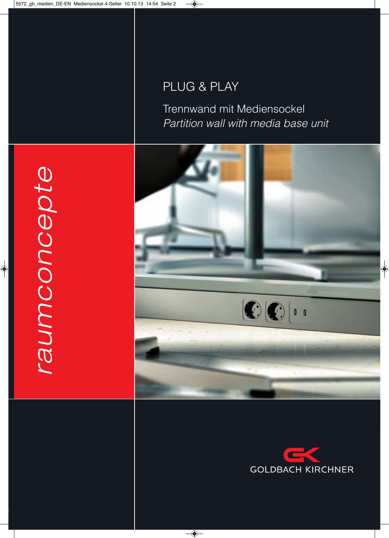# PLUG & PLay

Trennwand mit Mediensockel Partition wall with media base unit





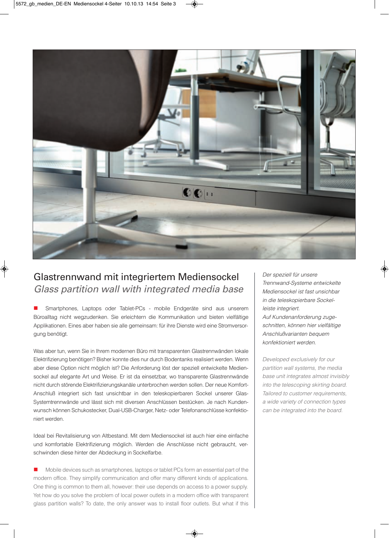

## Glastrennwand mit integriertem Mediensockel *Glass partition wall with integrated media base*

n Smartphones, Laptops oder Tablet-Pcs - mobile Endgeräte sind aus unserem Büroalltag nicht wegzudenken. Sie erleichtern die Kommunikation und bieten vielfältige Applikationen. Eines aber haben sie alle gemeinsam: für ihre Dienste wird eine Stromversorgung benötigt.

Was aber tun, wenn Sie in ihrem modernen Büro mit transparenten Glastrennwänden lokale Elektrifizierung benötigen? Bisher konnte dies nur durch Bodentanks realisiert werden. Wenn aber diese Option nicht möglich ist? Die Anforderung löst der speziell entwickelte Mediensockel auf elegante art und Weise. Er ist da einsetzbar, wo transparente Glastrennwände nicht durch störende Elektrifizierungskanäle unterbrochen werden sollen. Der neue Komfortanschluß integriert sich fast unsichtbar in den teleskopierbaren Sockel unserer Glas-Systemtrennwände und lässt sich mit diversen anschlüssen bestücken. Je nach Kundenwunsch können Schukostecker, dual-USB-charger, netz- oder Telefonanschlüsse konfektioniert werden.

ideal bei revitalisierung von altbestand. Mit dem Mediensockel ist auch hier eine einfache und komfortable Elektrifizierung möglich. Werden die anschlüsse nicht gebraucht, verschwinden diese hinter der abdeckung in Sockelfarbe.

n Mobile devices such as smartphones, laptops or tablet PCs form an essential part of the modern office. They simplify communication and offer many different kinds of applications. One thing is common to them all, however: their use depends on access to a power supply. yet how do you solve the problem of local power outlets in a modern office with transparent glass partition walls? To date, the only answer was to install floor outlets. But what if this

Der speziell für unsere Trennwand-Systeme entwickelte Mediensockel ist fast unsichbar in die teleskopierbare Sockelleiste integriert. auf Kundenanforderung zugeschnitten, können hier vielfältige anschlußvarianten bequem konfektioniert werden.

Developed exclusively for our partition wall systems, the media base unit integrates almost invisibly into the telescoping skirting board. Tailored to customer requirements, a wide variety of connection types can be integrated into the board.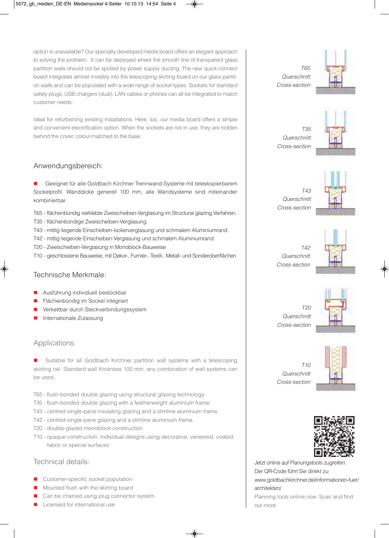option is unavailable? our specially developed media board offers an elegant approach to solving the problem. it can be deployed where the smooth line of transparent glass partition walls should not be spoiled by power supply ducting. The new quick-connect board integrates almost invisibly into the telescoping skirting board on our glass partition walls and can be populated with a wide range of socket types. Sockets for standard safety plugs, USB chargers (dual), Lan cables or phones can all be integrated to match customer needs.

Ideal for refurbishing existing installations. Here, too, our media board offers a simple and convenient electrification option. When the sockets are not in use, they are hidden behind the cover, colour-matched to the base.

#### anwendungsbereich:

■ Geeignet für alle Goldbach Kirchner Trennwand-Systeme mit teleskopierbarem Sockelprofil. Wanddicke generell 100 mm, alle Wandsysteme sind miteinander kombinierbar.

- T65 flächenbündig verklebte zweischeiben-Verglasung im Structural glazing Verfahren.
- T35 flächenbündige zweischeiben-Verglasung
- T43 mittig liegende Einscheiben-isolierverglasung und schmalem aluminiumrand.
- T42 mittig liegende Einscheiben-Verglasung und schmalem aluminiumrand.
- T20 zweischeiben-Verglasung in Monoblock-Bauweise
- T10 geschlossene Bauweise, mit Dekor-, Furnier-, Textil-, Metall- und Sonderoberflächen

#### Technische Merkmale:

- Ausführung individuell bestückbar
- Flächenbündig im Sockel integriert
- n Verkettbar durch Steckverbindungssystem
- Internationale Zulassung

#### applications:

Suitable for all Goldbach Kirchner partition wall systems with a telescoping skirting rail. Standard wall thickness 100 mm, any combination of wall systems can be used.

- T65 flush-bonded double glazing using structural glazing technology.
- T35 flush-bonded double glazing with a featherweight aluminium frame.
- T43 centred single-pane insulating glazing and a slimline aluminium frame.
- T42 centred single-pane glazing and a slimline aluminium frame.
- T20 double-glazed monoblock construction
- T10 opaque construction. individual designs using decorative, veneered, coated, fabric or special surfaces

#### Technical details:

- **n** Customer-specific socket population
- **n** Mounted flush with the skirting board
- Can be chained using plug connector system
- Licensed for international use

T65 **Querschnitt** cross-section



T35 **Querschnitt** cross-section



 $TA3$ **Querschnitt** cross-section



T42 **Querschnitt** cross-section



 $T20$ **Querschnitt** cross-section



 $T10$ **Querschnitt** cross-section



Jetzt online auf Planungstools zugreifen. Der QR-Code führt Sie direkt zu www.goldbachkirchner.de/informationen-fuer/ architekten/ Planning tools online now. Scan and find out more.